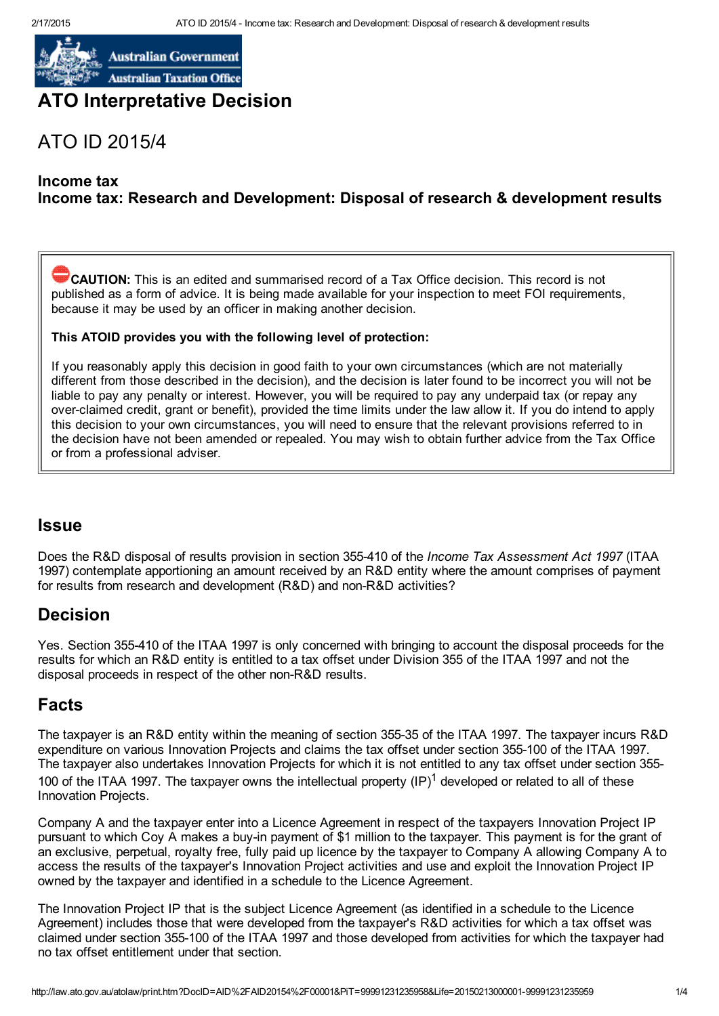

**Australian Government Australian Taxation Office** 

## ATO Interpretative Decision

# ATO ID 2015/4

### Income tax

## Income tax: Research and Development: Disposal of research & development results

CAUTION: This is an edited and summarised record of a Tax Office decision. This record is not published as a form of advice. It is being made available for your inspection to meet FOI requirements, because it may be used by an officer in making another decision.

### This ATOID provides you with the following level of protection:

If you reasonably apply this decision in good faith to your own circumstances (which are not materially different from those described in the decision), and the decision is later found to be incorrect you will not be liable to pay any penalty or interest. However, you will be required to pay any underpaid tax (or repay any over-claimed credit, grant or benefit), provided the time limits under the law allow it. If you do intend to apply this decision to your own circumstances, you will need to ensure that the relevant provisions referred to in the decision have not been amended or repealed. You may wish to obtain further advice from the Tax Office or from a professional adviser.

## Issue

Does the R&D disposal of results provision in section 355410 of the *Income Tax Assessment Act 1997* (ITAA 1997) contemplate apportioning an amount received by an R&D entity where the amount comprises of payment for results from research and development (R&D) and non-R&D activities?

## Decision

Yes. Section 355410 of the ITAA 1997 is only concerned with bringing to account the disposal proceeds for the results for which an R&D entity is entitled to a tax offset under Division 355 of the ITAA 1997 and not the disposal proceeds in respect of the other non-R&D results.

## Facts

The taxpayer is an R&D entity within the meaning of section 35535 of the ITAA 1997. The taxpayer incurs R&D expenditure on various Innovation Projects and claims the tax offset under section 355100 of the ITAA 1997. The taxpayer also undertakes Innovation Projects for which it is not entitled to any tax offset under section 355 100 of the ITAA 1997. The taxpayer owns the intellectual property  $(IP)^1$  developed or related to all of these Innovation Projects.

Company A and the taxpayer enter into a Licence Agreement in respect of the taxpayers Innovation Project IP pursuant to which Coy A makes a buy-in payment of \$1 million to the taxpayer. This payment is for the grant of an exclusive, perpetual, royalty free, fully paid up licence by the taxpayer to Company A allowing Company A to access the results of the taxpayer's Innovation Project activities and use and exploit the Innovation Project IP owned by the taxpayer and identified in a schedule to the Licence Agreement.

The Innovation Project IP that is the subject Licence Agreement (as identified in a schedule to the Licence Agreement) includes those that were developed from the taxpayer's R&D activities for which a tax offset was claimed under section 355100 of the ITAA 1997 and those developed from activities for which the taxpayer had no tax offset entitlement under that section.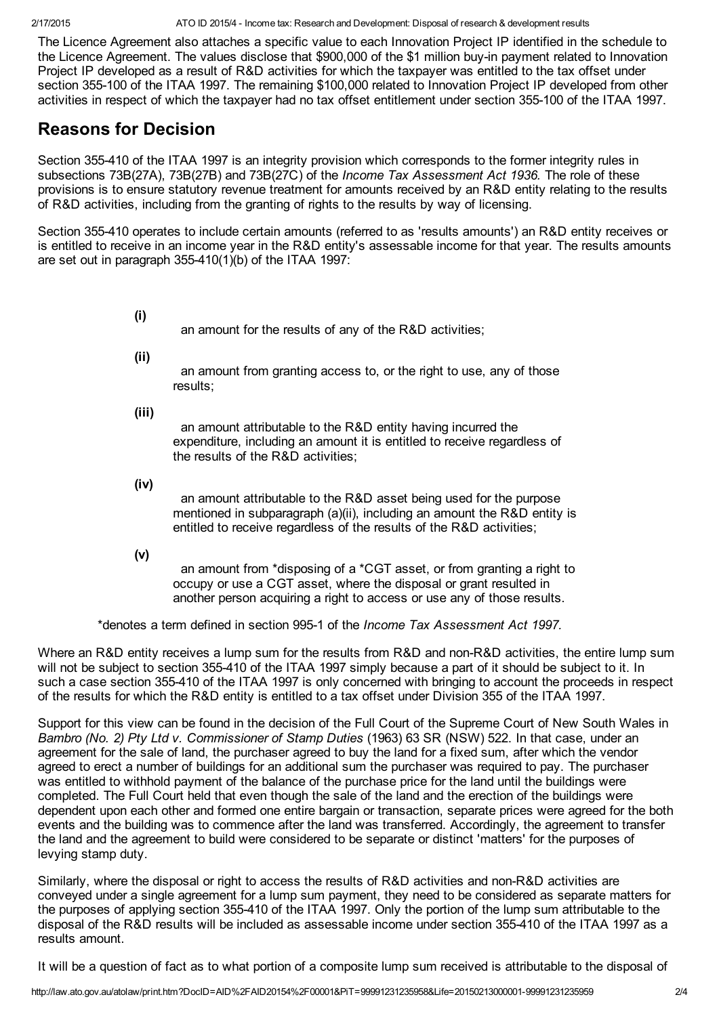2/17/2015 ATO ID 2015/4 Income tax: Research and Development: Disposal of research & development results

The Licence Agreement also attaches a specific value to each Innovation Project IP identified in the schedule to the Licence Agreement. The values disclose that \$900,000 of the \$1 million buy-in payment related to Innovation Project IP developed as a result of R&D activities for which the taxpayer was entitled to the tax offset under section 355-100 of the ITAA 1997. The remaining \$100,000 related to Innovation Project IP developed from other activities in respect of which the taxpayer had no tax offset entitlement under section 355-100 of the ITAA 1997.

## Reasons for Decision

Section 355-410 of the ITAA 1997 is an integrity provision which corresponds to the former integrity rules in subsections 73B(27A), 73B(27B) and 73B(27C) of the *Income Tax Assessment Act 1936.* The role of these provisions is to ensure statutory revenue treatment for amounts received by an R&D entity relating to the results of R&D activities, including from the granting of rights to the results by way of licensing.

Section 355410 operates to include certain amounts (referred to as 'results amounts') an R&D entity receives or is entitled to receive in an income year in the R&D entity's assessable income for that year. The results amounts are set out in paragraph 355410(1)(b) of the ITAA 1997:

- (i) an amount for the results of any of the R&D activities;
- (ii)

an amount from granting access to, or the right to use, any of those results;

(iii)

an amount attributable to the R&D entity having incurred the expenditure, including an amount it is entitled to receive regardless of the results of the R&D activities;

(iv)

an amount attributable to the R&D asset being used for the purpose mentioned in subparagraph (a)(ii), including an amount the R&D entity is entitled to receive regardless of the results of the R&D activities;

(v)

an amount from \*disposing of a \*CGT asset, or from granting a right to occupy or use a CGT asset, where the disposal or grant resulted in another person acquiring a right to access or use any of those results.

\*denotes a term defined in section 9951 of the *Income Tax Assessment Act 1997.*

Where an R&D entity receives a lump sum for the results from R&D and non-R&D activities, the entire lump sum will not be subject to section 355410 of the ITAA 1997 simply because a part of it should be subject to it. In such a case section 355410 of the ITAA 1997 is only concerned with bringing to account the proceeds in respect of the results for which the R&D entity is entitled to a tax offset under Division 355 of the ITAA 1997.

Support for this view can be found in the decision of the Full Court of the Supreme Court of New South Wales in *Bambro (No. 2) Pty Ltd v. Commissioner of Stamp Duties* (1963) 63 SR (NSW) 522. In that case, under an agreement for the sale of land, the purchaser agreed to buy the land for a fixed sum, after which the vendor agreed to erect a number of buildings for an additional sum the purchaser was required to pay. The purchaser was entitled to withhold payment of the balance of the purchase price for the land until the buildings were completed. The Full Court held that even though the sale of the land and the erection of the buildings were dependent upon each other and formed one entire bargain or transaction, separate prices were agreed for the both events and the building was to commence after the land was transferred. Accordingly, the agreement to transfer the land and the agreement to build were considered to be separate or distinct 'matters' for the purposes of levying stamp duty.

Similarly, where the disposal or right to access the results of R&D activities and non-R&D activities are conveyed under a single agreement for a lump sum payment, they need to be considered as separate matters for the purposes of applying section 355410 of the ITAA 1997. Only the portion of the lump sum attributable to the disposal of the R&D results will be included as assessable income under section 355410 of the ITAA 1997 as a results amount.

It will be a question of fact as to what portion of a composite lump sum received is attributable to the disposal of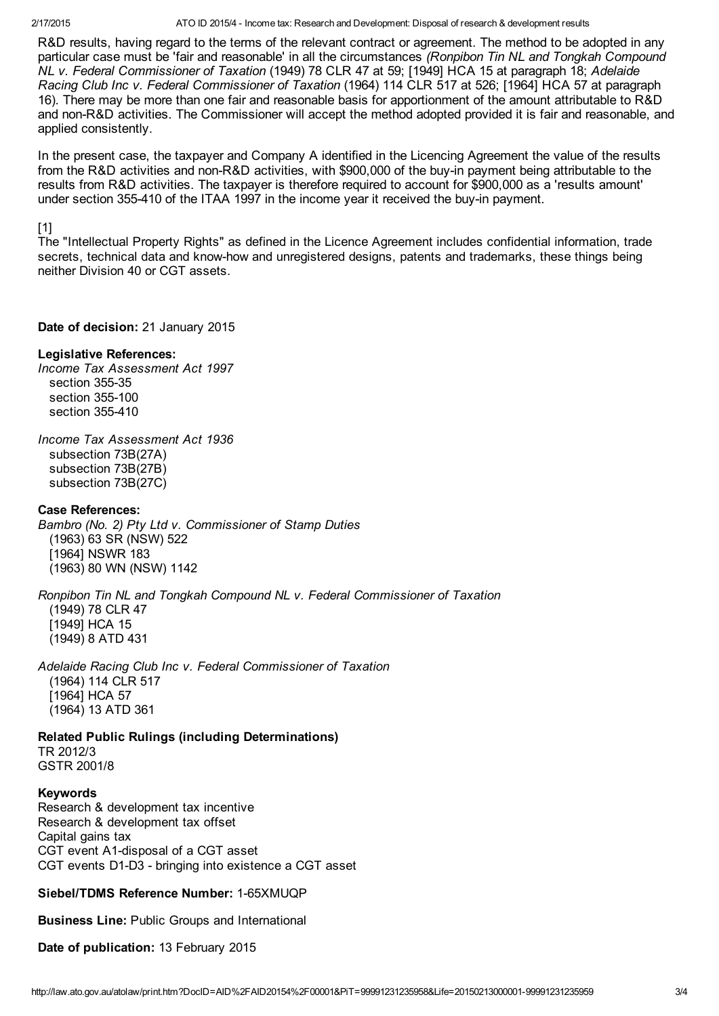#### 2/17/2015 ATO ID 2015/4 Income tax: Research and Development: Disposal of research & development results

R&D results, having regard to the terms of the relevant contract or agreement. The method to be adopted in any particular case must be 'fair and reasonable' in all the circumstances *(Ronpibon Tin NL and Tongkah Compound NL v. Federal Commissioner of Taxation* (1949) 78 CLR 47 at 59; [1949] HCA 15 at paragraph 18; *Adelaide Racing Club Inc v. Federal Commissioner of Taxation* (1964) 114 CLR 517 at 526; [1964] HCA 57 at paragraph 16). There may be more than one fair and reasonable basis for apportionment of the amount attributable to R&D and non-R&D activities. The Commissioner will accept the method adopted provided it is fair and reasonable, and applied consistently.

In the present case, the taxpayer and Company A identified in the Licencing Agreement the value of the results from the R&D activities and non-R&D activities, with \$900,000 of the buy-in payment being attributable to the results from R&D activities. The taxpayer is therefore required to account for \$900,000 as a 'results amount' under section 355-410 of the ITAA 1997 in the income year it received the buy-in payment.

### [1]

The "Intellectual Property Rights" as defined in the Licence Agreement includes confidential information, trade secrets, technical data and know-how and unregistered designs, patents and trademarks, these things being neither Division 40 or CGT assets.

### Date of decision: 21 January 2015

### Legislative References:

*Income Tax Assessment Act 1997* section 355-35 section 355-100 section 355410

*Income Tax Assessment Act 1936* subsection 73B(27A) subsection 73B(27B) subsection 73B(27C)

### Case References:

*Bambro (No. 2) Pty Ltd v. Commissioner of Stamp Duties* (1963) 63 SR (NSW) 522 [1964] NSWR 183 (1963) 80 WN (NSW) 1142

*Ronpibon Tin NL and Tongkah Compound NL v. Federal Commissioner of Taxation* (1949) 78 CLR 47 [1949] HCA 15 (1949) 8 ATD 431

*Adelaide Racing Club Inc v. Federal Commissioner of Taxation* (1964) 114 CLR 517 [1964] HCA 57 (1964) 13 ATD 361

Related Public Rulings (including Determinations) TR 2012/3 GSTR 2001/8

### Keywords

Research & development tax incentive Research & development tax offset Capital gains tax CGT event A1-disposal of a CGT asset CGT events D1-D3 - bringing into existence a CGT asset

Siebel/TDMS Reference Number: 1-65XMUQP

Business Line: Public Groups and International

Date of publication: 13 February 2015